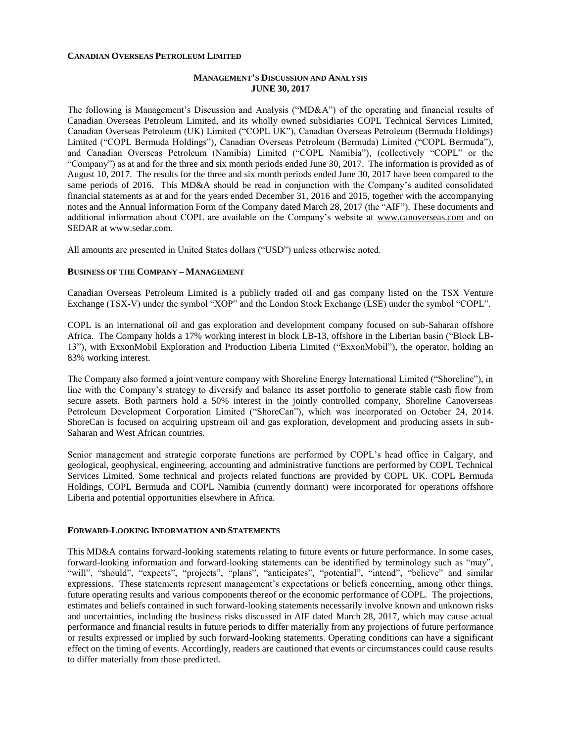#### **CANADIAN OVERSEAS PETROLEUM LIMITED**

## **MANAGEMENT'S DISCUSSION AND ANALYSIS JUNE 30, 2017**

The following is Management's Discussion and Analysis ("MD&A") of the operating and financial results of Canadian Overseas Petroleum Limited, and its wholly owned subsidiaries COPL Technical Services Limited, Canadian Overseas Petroleum (UK) Limited ("COPL UK"), Canadian Overseas Petroleum (Bermuda Holdings) Limited ("COPL Bermuda Holdings"), Canadian Overseas Petroleum (Bermuda) Limited ("COPL Bermuda"), and Canadian Overseas Petroleum (Namibia) Limited ("COPL Namibia"), (collectively "COPL" or the "Company") as at and for the three and six month periods ended June 30, 2017. The information is provided as of August 10, 2017. The results for the three and six month periods ended June 30, 2017 have been compared to the same periods of 2016. This MD&A should be read in conjunction with the Company's audited consolidated financial statements as at and for the years ended December 31, 2016 and 2015, together with the accompanying notes and the Annual Information Form of the Company dated March 28, 2017 (the "AIF"). These documents and additional information about COPL are available on the Company's website at [www.canoverseas.com](http://www.canoverseas.com/) and on SEDAR at [www.sedar.com.](http://www.sedar.com/)

All amounts are presented in United States dollars ("USD") unless otherwise noted.

### **BUSINESS OF THE COMPANY – MANAGEMENT**

Canadian Overseas Petroleum Limited is a publicly traded oil and gas company listed on the TSX Venture Exchange (TSX-V) under the symbol "XOP" and the London Stock Exchange (LSE) under the symbol "COPL".

COPL is an international oil and gas exploration and development company focused on sub-Saharan offshore Africa. The Company holds a 17% working interest in block LB-13, offshore in the Liberian basin ("Block LB-13"), with ExxonMobil Exploration and Production Liberia Limited ("ExxonMobil"), the operator, holding an 83% working interest.

The Company also formed a joint venture company with Shoreline Energy International Limited ("Shoreline"), in line with the Company's strategy to diversify and balance its asset portfolio to generate stable cash flow from secure assets. Both partners hold a 50% interest in the jointly controlled company, Shoreline Canoverseas Petroleum Development Corporation Limited ("ShoreCan"), which was incorporated on October 24, 2014. ShoreCan is focused on acquiring upstream oil and gas exploration, development and producing assets in sub-Saharan and West African countries.

Senior management and strategic corporate functions are performed by COPL's head office in Calgary, and geological, geophysical, engineering, accounting and administrative functions are performed by COPL Technical Services Limited. Some technical and projects related functions are provided by COPL UK. COPL Bermuda Holdings, COPL Bermuda and COPL Namibia (currently dormant) were incorporated for operations offshore Liberia and potential opportunities elsewhere in Africa.

### **FORWARD-LOOKING INFORMATION AND STATEMENTS**

This MD&A contains forward-looking statements relating to future events or future performance. In some cases, forward-looking information and forward-looking statements can be identified by terminology such as "may", "will", "should", "expects", "projects", "plans", "anticipates", "potential", "intend", "believe" and similar expressions. These statements represent management's expectations or beliefs concerning, among other things, future operating results and various components thereof or the economic performance of COPL. The projections, estimates and beliefs contained in such forward-looking statements necessarily involve known and unknown risks and uncertainties, including the business risks discussed in AIF dated March 28, 2017, which may cause actual performance and financial results in future periods to differ materially from any projections of future performance or results expressed or implied by such forward-looking statements. Operating conditions can have a significant effect on the timing of events. Accordingly, readers are cautioned that events or circumstances could cause results to differ materially from those predicted.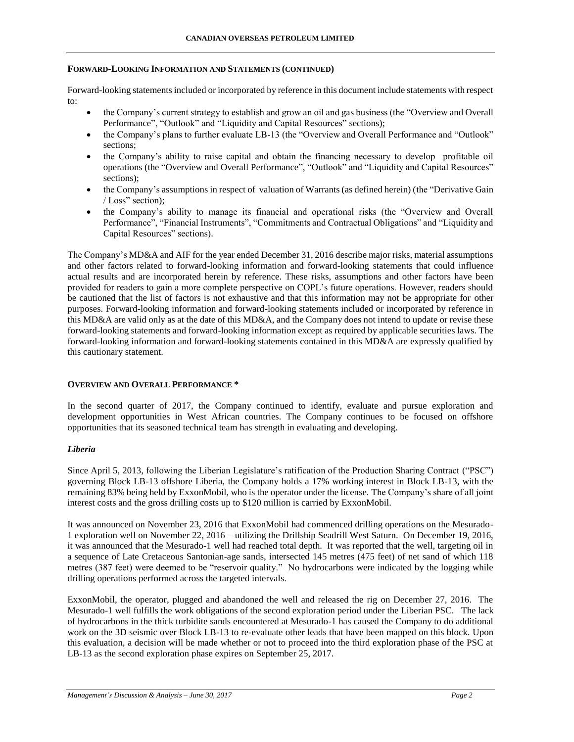### **FORWARD-LOOKING INFORMATION AND STATEMENTS (CONTINUED)**

Forward-looking statements included or incorporated by reference in this document include statements with respect to:

- the Company's current strategy to establish and grow an oil and gas business (the "Overview and Overall Performance", "Outlook" and "Liquidity and Capital Resources" sections);
- the Company's plans to further evaluate LB-13 (the "Overview and Overall Performance and "Outlook" sections;
- the Company's ability to raise capital and obtain the financing necessary to develop profitable oil operations (the "Overview and Overall Performance", "Outlook" and "Liquidity and Capital Resources" sections);
- the Company's assumptions in respect of valuation of Warrants (as defined herein) (the "Derivative Gain / Loss" section);
- the Company's ability to manage its financial and operational risks (the "Overview and Overall Performance", "Financial Instruments", "Commitments and Contractual Obligations" and "Liquidity and Capital Resources" sections).

The Company's MD&A and AIF for the year ended December 31, 2016 describe major risks, material assumptions and other factors related to forward-looking information and forward-looking statements that could influence actual results and are incorporated herein by reference. These risks, assumptions and other factors have been provided for readers to gain a more complete perspective on COPL's future operations. However, readers should be cautioned that the list of factors is not exhaustive and that this information may not be appropriate for other purposes. Forward-looking information and forward-looking statements included or incorporated by reference in this MD&A are valid only as at the date of this MD&A, and the Company does not intend to update or revise these forward-looking statements and forward-looking information except as required by applicable securities laws. The forward-looking information and forward-looking statements contained in this MD&A are expressly qualified by this cautionary statement.

### **OVERVIEW AND OVERALL PERFORMANCE \***

In the second quarter of 2017, the Company continued to identify, evaluate and pursue exploration and development opportunities in West African countries. The Company continues to be focused on offshore opportunities that its seasoned technical team has strength in evaluating and developing.

## *Liberia*

Since April 5, 2013, following the Liberian Legislature's ratification of the Production Sharing Contract ("PSC") governing Block LB-13 offshore Liberia, the Company holds a 17% working interest in Block LB-13, with the remaining 83% being held by ExxonMobil, who is the operator under the license. The Company's share of all joint interest costs and the gross drilling costs up to \$120 million is carried by ExxonMobil.

It was announced on November 23, 2016 that ExxonMobil had commenced drilling operations on the Mesurado-1 exploration well on November 22, 2016 – utilizing the Drillship Seadrill West Saturn. On December 19, 2016, it was announced that the Mesurado-1 well had reached total depth. It was reported that the well, targeting oil in a sequence of Late Cretaceous Santonian-age sands, intersected 145 metres (475 feet) of net sand of which 118 metres (387 feet) were deemed to be "reservoir quality." No hydrocarbons were indicated by the logging while drilling operations performed across the targeted intervals.

ExxonMobil, the operator, plugged and abandoned the well and released the rig on December 27, 2016. The Mesurado-1 well fulfills the work obligations of the second exploration period under the Liberian PSC. The lack of hydrocarbons in the thick turbidite sands encountered at Mesurado-1 has caused the Company to do additional work on the 3D seismic over Block LB-13 to re-evaluate other leads that have been mapped on this block. Upon this evaluation, a decision will be made whether or not to proceed into the third exploration phase of the PSC at LB-13 as the second exploration phase expires on September 25, 2017.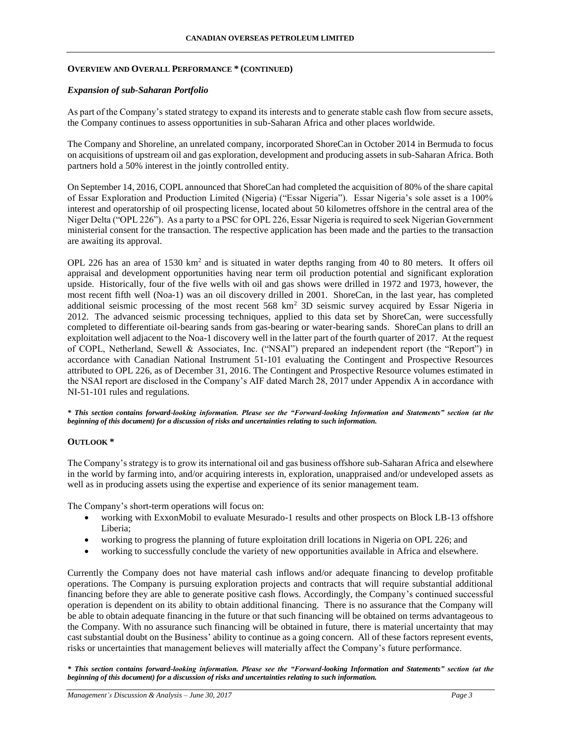## **OVERVIEW AND OVERALL PERFORMANCE \* (CONTINUED)**

## *Expansion of sub-Saharan Portfolio*

As part of the Company's stated strategy to expand its interests and to generate stable cash flow from secure assets, the Company continues to assess opportunities in sub-Saharan Africa and other places worldwide.

The Company and Shoreline, an unrelated company, incorporated ShoreCan in October 2014 in Bermuda to focus on acquisitions of upstream oil and gas exploration, development and producing assets in sub-Saharan Africa. Both partners hold a 50% interest in the jointly controlled entity.

On September 14, 2016, COPL announced that ShoreCan had completed the acquisition of 80% of the share capital of Essar Exploration and Production Limited (Nigeria) ("Essar Nigeria"). Essar Nigeria's sole asset is a 100% interest and operatorship of oil prospecting license, located about 50 kilometres offshore in the central area of the Niger Delta ("OPL 226"). As a party to a PSC for OPL 226, Essar Nigeria is required to seek Nigerian Government ministerial consent for the transaction. The respective application has been made and the parties to the transaction are awaiting its approval.

OPL 226 has an area of 1530 km<sup>2</sup> and is situated in water depths ranging from 40 to 80 meters. It offers oil appraisal and development opportunities having near term oil production potential and significant exploration upside. Historically, four of the five wells with oil and gas shows were drilled in 1972 and 1973, however, the most recent fifth well (Noa-1) was an oil discovery drilled in 2001. ShoreCan, in the last year, has completed additional seismic processing of the most recent 568 km<sup>2</sup> 3D seismic survey acquired by Essar Nigeria in 2012. The advanced seismic processing techniques, applied to this data set by ShoreCan, were successfully completed to differentiate oil-bearing sands from gas-bearing or water-bearing sands. ShoreCan plans to drill an exploitation well adjacent to the Noa-1 discovery well in the latter part of the fourth quarter of 2017. At the request of COPL, Netherland, Sewell & Associates, Inc. ("NSAI") prepared an independent report (the "Report") in accordance with Canadian National Instrument 51-101 evaluating the Contingent and Prospective Resources attributed to OPL 226, as of December 31, 2016. The Contingent and Prospective Resource volumes estimated in the NSAI report are disclosed in the Company's AIF dated March 28, 2017 under Appendix A in accordance with NI-51-101 rules and regulations.

*\* This section contains forward-looking information. Please see the "Forward-looking Information and Statements" section (at the beginning of this document) for a discussion of risks and uncertainties relating to such information.*

## **OUTLOOK \***

The Company's strategy is to grow its international oil and gas business offshore sub-Saharan Africa and elsewhere in the world by farming into, and/or acquiring interests in, exploration, unappraised and/or undeveloped assets as well as in producing assets using the expertise and experience of its senior management team.

The Company's short-term operations will focus on:

- working with ExxonMobil to evaluate Mesurado-1 results and other prospects on Block LB-13 offshore Liberia;
- working to progress the planning of future exploitation drill locations in Nigeria on OPL 226; and
- working to successfully conclude the variety of new opportunities available in Africa and elsewhere.

Currently the Company does not have material cash inflows and/or adequate financing to develop profitable operations. The Company is pursuing exploration projects and contracts that will require substantial additional financing before they are able to generate positive cash flows. Accordingly, the Company's continued successful operation is dependent on its ability to obtain additional financing. There is no assurance that the Company will be able to obtain adequate financing in the future or that such financing will be obtained on terms advantageous to the Company. With no assurance such financing will be obtained in future, there is material uncertainty that may cast substantial doubt on the Business' ability to continue as a going concern. All of these factors represent events, risks or uncertainties that management believes will materially affect the Company's future performance.

*\* This section contains forward-looking information. Please see the "Forward-looking Information and Statements" section (at the beginning of this document) for a discussion of risks and uncertainties relating to such information.*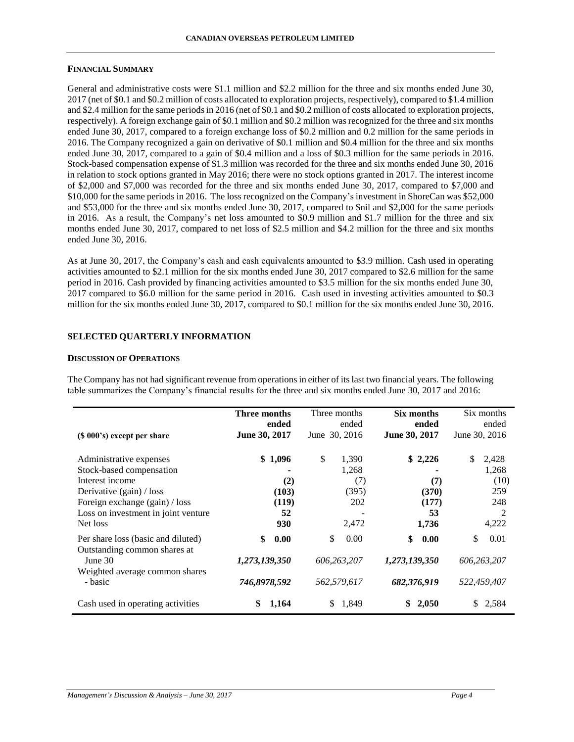#### **CANADIAN OVERSEAS PETROLEUM LIMITED**

### **FINANCIAL SUMMARY**

General and administrative costs were \$1.1 million and \$2.2 million for the three and six months ended June 30, 2017 (net of \$0.1 and \$0.2 million of costs allocated to exploration projects, respectively), compared to \$1.4 million and \$2.4 million for the same periods in 2016 (net of \$0.1 and \$0.2 million of costs allocated to exploration projects, respectively). A foreign exchange gain of \$0.1 million and \$0.2 million was recognized for the three and six months ended June 30, 2017, compared to a foreign exchange loss of \$0.2 million and 0.2 million for the same periods in 2016. The Company recognized a gain on derivative of \$0.1 million and \$0.4 million for the three and six months ended June 30, 2017, compared to a gain of \$0.4 million and a loss of \$0.3 million for the same periods in 2016. Stock-based compensation expense of \$1.3 million was recorded for the three and six months ended June 30, 2016 in relation to stock options granted in May 2016; there were no stock options granted in 2017. The interest income of \$2,000 and \$7,000 was recorded for the three and six months ended June 30, 2017, compared to \$7,000 and \$10,000 for the same periods in 2016. The loss recognized on the Company's investment in ShoreCan was \$52,000 and \$53,000 for the three and six months ended June 30, 2017, compared to \$nil and \$2,000 for the same periods in 2016. As a result, the Company's net loss amounted to \$0.9 million and \$1.7 million for the three and six months ended June 30, 2017, compared to net loss of \$2.5 million and \$4.2 million for the three and six months ended June 30, 2016.

As at June 30, 2017, the Company's cash and cash equivalents amounted to \$3.9 million. Cash used in operating activities amounted to \$2.1 million for the six months ended June 30, 2017 compared to \$2.6 million for the same period in 2016. Cash provided by financing activities amounted to \$3.5 million for the six months ended June 30, 2017 compared to \$6.0 million for the same period in 2016. Cash used in investing activities amounted to \$0.3 million for the six months ended June 30, 2017, compared to \$0.1 million for the six months ended June 30, 2016.

## **SELECTED QUARTERLY INFORMATION**

## **DISCUSSION OF OPERATIONS**

The Company has not had significant revenue from operations in either of its last two financial years. The following table summarizes the Company's financial results for the three and six months ended June 30, 2017 and 2016:

| $(\$ 000's)$ except per share                                                                                                                                                             | Three months                                  | Three months                                         | Six months                                      | Six months                                               |
|-------------------------------------------------------------------------------------------------------------------------------------------------------------------------------------------|-----------------------------------------------|------------------------------------------------------|-------------------------------------------------|----------------------------------------------------------|
|                                                                                                                                                                                           | ended                                         | ended                                                | ended                                           | ended                                                    |
|                                                                                                                                                                                           | June 30, 2017                                 | June 30, 2016                                        | June 30, 2017                                   | June 30, 2016                                            |
| Administrative expenses<br>Stock-based compensation<br>Interest income<br>Derivative $(gain) / loss$<br>Foreign exchange (gain) / loss<br>Loss on investment in joint venture<br>Net loss | \$1,096<br>(2)<br>(103)<br>(119)<br>52<br>930 | \$<br>1,390<br>1,268<br>(7)<br>(395)<br>202<br>2,472 | \$2,226<br>(7)<br>(370)<br>(177)<br>53<br>1,736 | \$<br>2,428<br>1,268<br>(10)<br>259<br>248<br>2<br>4,222 |
| Per share loss (basic and diluted)<br>Outstanding common shares at<br>June $301$<br>Weighted average common shares<br>- basic                                                             | \$<br>0.00<br>1,273,139,350<br>746,8978,592   | \$<br>0.00<br>606,263,207<br>562,579,617             | \$<br>0.00<br>1,273,139,350<br>682,376,919      | \$<br>0.01<br>606,263,207<br>522,459,407                 |
| Cash used in operating activities                                                                                                                                                         | \$                                            | 1,849                                                | 2,050                                           | 2,584                                                    |
|                                                                                                                                                                                           | 1,164                                         | \$.                                                  | \$                                              | \$.                                                      |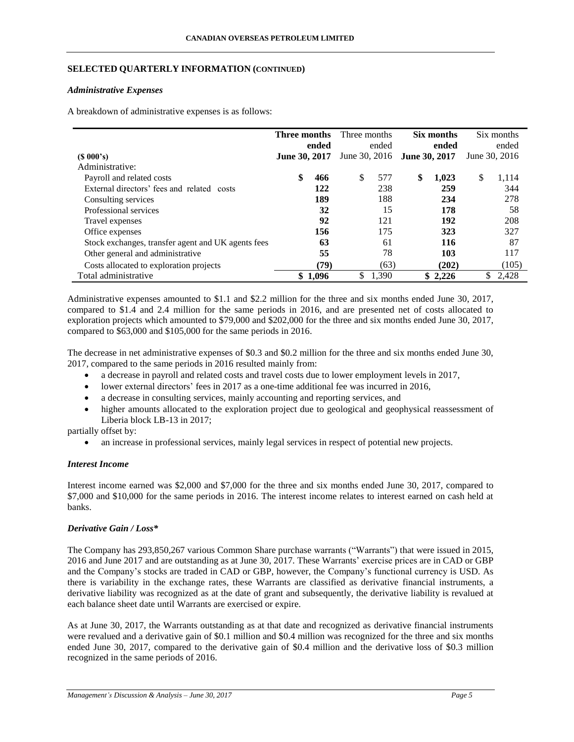## **SELECTED QUARTERLY INFORMATION (CONTINUED)**

### *Administrative Expenses*

A breakdown of administrative expenses is as follows:

|                                                    | Three months  | ended   | Three months                | ended | Six months<br>ended | Six months<br>ended |
|----------------------------------------------------|---------------|---------|-----------------------------|-------|---------------------|---------------------|
| $(S\ 000's)$                                       | June 30, 2017 |         | June 30, 2016 June 30, 2017 |       |                     | June 30, 2016       |
| Administrative:                                    |               |         |                             |       |                     |                     |
| Payroll and related costs                          | \$            | 466     | \$                          | 577   | \$<br>1.023         | \$<br>1,114         |
| External directors' fees and related<br>costs      |               | 122     |                             | 238   | 259                 | 344                 |
| Consulting services                                |               | 189     |                             | 188   | 234                 | 278                 |
| Professional services                              |               | 32      |                             | 15    | 178                 | 58                  |
| Travel expenses                                    |               | 92      |                             | 121   | 192                 | 208                 |
| Office expenses                                    |               | 156     |                             | 175   | 323                 | 327                 |
| Stock exchanges, transfer agent and UK agents fees |               | 63      |                             | 61    | 116                 | 87                  |
| Other general and administrative                   |               | 55      |                             | 78    | 103                 | 117                 |
| Costs allocated to exploration projects            |               | (79)    |                             | (63)  | (202)               | (105)               |
| Total administrative                               |               | \$1,096 | \$                          | 1,390 | \$2.226             | \$<br>2.428         |

Administrative expenses amounted to \$1.1 and \$2.2 million for the three and six months ended June 30, 2017, compared to \$1.4 and 2.4 million for the same periods in 2016, and are presented net of costs allocated to exploration projects which amounted to \$79,000 and \$202,000 for the three and six months ended June 30, 2017, compared to \$63,000 and \$105,000 for the same periods in 2016.

The decrease in net administrative expenses of \$0.3 and \$0.2 million for the three and six months ended June 30, 2017, compared to the same periods in 2016 resulted mainly from:

- a decrease in payroll and related costs and travel costs due to lower employment levels in 2017,
- lower external directors' fees in 2017 as a one-time additional fee was incurred in 2016,
- a decrease in consulting services, mainly accounting and reporting services, and
- higher amounts allocated to the exploration project due to geological and geophysical reassessment of Liberia block LB-13 in 2017;

partially offset by:

an increase in professional services, mainly legal services in respect of potential new projects.

### *Interest Income*

Interest income earned was \$2,000 and \$7,000 for the three and six months ended June 30, 2017, compared to \$7,000 and \$10,000 for the same periods in 2016. The interest income relates to interest earned on cash held at banks.

## *Derivative Gain / Loss\**

The Company has 293,850,267 various Common Share purchase warrants ("Warrants") that were issued in 2015, 2016 and June 2017 and are outstanding as at June 30, 2017. These Warrants' exercise prices are in CAD or GBP and the Company's stocks are traded in CAD or GBP, however, the Company's functional currency is USD. As there is variability in the exchange rates, these Warrants are classified as derivative financial instruments, a derivative liability was recognized as at the date of grant and subsequently, the derivative liability is revalued at each balance sheet date until Warrants are exercised or expire.

As at June 30, 2017, the Warrants outstanding as at that date and recognized as derivative financial instruments were revalued and a derivative gain of \$0.1 million and \$0.4 million was recognized for the three and six months ended June 30, 2017, compared to the derivative gain of \$0.4 million and the derivative loss of \$0.3 million recognized in the same periods of 2016.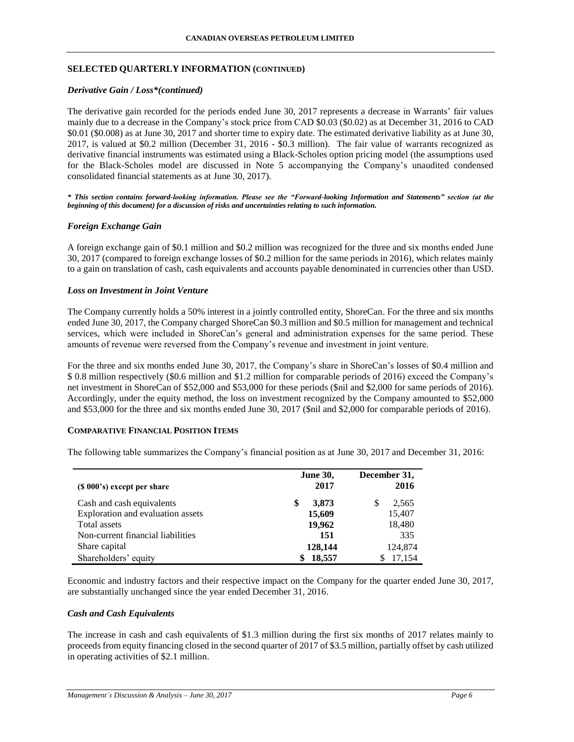## **SELECTED QUARTERLY INFORMATION (CONTINUED)**

### *Derivative Gain / Loss\*(continued)*

The derivative gain recorded for the periods ended June 30, 2017 represents a decrease in Warrants' fair values mainly due to a decrease in the Company's stock price from CAD \$0.03 (\$0.02) as at December 31, 2016 to CAD \$0.01 (\$0.008) as at June 30, 2017 and shorter time to expiry date. The estimated derivative liability as at June 30, 2017, is valued at \$0.2 million (December 31, 2016 - \$0.3 million). The fair value of warrants recognized as derivative financial instruments was estimated using a Black-Scholes option pricing model (the assumptions used for the Black-Scholes model are discussed in Note 5 accompanying the Company's unaudited condensed consolidated financial statements as at June 30, 2017).

*\* This section contains forward-looking information. Please see the "Forward-looking Information and Statements" section (at the beginning of this document) for a discussion of risks and uncertainties relating to such information.*

## *Foreign Exchange Gain*

A foreign exchange gain of \$0.1 million and \$0.2 million was recognized for the three and six months ended June 30, 2017 (compared to foreign exchange losses of \$0.2 million for the same periods in 2016), which relates mainly to a gain on translation of cash, cash equivalents and accounts payable denominated in currencies other than USD.

## *Loss on Investment in Joint Venture*

The Company currently holds a 50% interest in a jointly controlled entity, ShoreCan. For the three and six months ended June 30, 2017, the Company charged ShoreCan \$0.3 million and \$0.5 million for management and technical services, which were included in ShoreCan's general and administration expenses for the same period. These amounts of revenue were reversed from the Company's revenue and investment in joint venture.

For the three and six months ended June 30, 2017, the Company's share in ShoreCan's losses of \$0.4 million and \$ 0.8 million respectively (\$0.6 million and \$1.2 million for comparable periods of 2016) exceed the Company's net investment in ShoreCan of \$52,000 and \$53,000 for these periods (\$nil and \$2,000 for same periods of 2016). Accordingly, under the equity method, the loss on investment recognized by the Company amounted to \$52,000 and \$53,000 for the three and six months ended June 30, 2017 (\$nil and \$2,000 for comparable periods of 2016).

### **COMPARATIVE FINANCIAL POSITION ITEMS**

The following table summarizes the Company's financial position as at June 30, 2017 and December 31, 2016:

| $(S 000's)$ except per share      | <b>June 30,</b><br>2017 | December 31,<br>2016 |
|-----------------------------------|-------------------------|----------------------|
| Cash and cash equivalents         | 3,873<br>\$             | 2,565<br>S           |
| Exploration and evaluation assets | 15,609                  | 15,407               |
| Total assets                      | 19,962                  | 18,480               |
| Non-current financial liabilities | 151                     | 335                  |
| Share capital                     | 128,144                 | 124,874              |
| Shareholders' equity              | 18,557                  | 17,154               |

Economic and industry factors and their respective impact on the Company for the quarter ended June 30, 2017, are substantially unchanged since the year ended December 31, 2016.

### *Cash and Cash Equivalents*

The increase in cash and cash equivalents of \$1.3 million during the first six months of 2017 relates mainly to proceeds from equity financing closed in the second quarter of 2017 of \$3.5 million, partially offset by cash utilized in operating activities of \$2.1 million.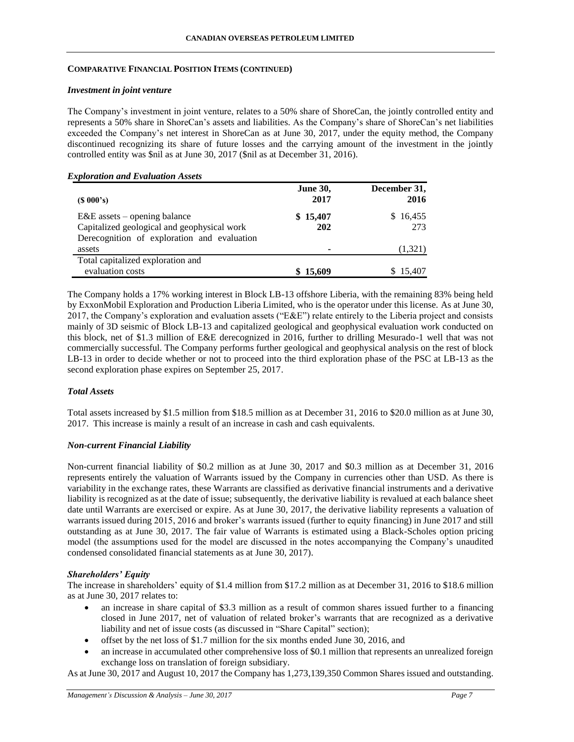## **COMPARATIVE FINANCIAL POSITION ITEMS (CONTINUED)**

### *Investment in joint venture*

The Company's investment in joint venture, relates to a 50% share of ShoreCan, the jointly controlled entity and represents a 50% share in ShoreCan's assets and liabilities. As the Company's share of ShoreCan's net liabilities exceeded the Company's net interest in ShoreCan as at June 30, 2017, under the equity method, the Company discontinued recognizing its share of future losses and the carrying amount of the investment in the jointly controlled entity was \$nil as at June 30, 2017 (\$nil as at December 31, 2016).

## *Exploration and Evaluation Assets*

| $(S\ 000's)$                                                                  | <b>June 30,</b><br>2017 | December 31,<br>2016 |
|-------------------------------------------------------------------------------|-------------------------|----------------------|
| $E&E$ assets – opening balance<br>Capitalized geological and geophysical work | \$15,407<br>202         | \$16,455<br>273      |
| Derecognition of exploration and evaluation<br>assets                         |                         | (1,321)              |
| Total capitalized exploration and<br>evaluation costs                         | \$15,609                | \$15,407             |

The Company holds a 17% working interest in Block LB-13 offshore Liberia, with the remaining 83% being held by ExxonMobil Exploration and Production Liberia Limited, who is the operator under this license. As at June 30, 2017, the Company's exploration and evaluation assets ("E&E") relate entirely to the Liberia project and consists mainly of 3D seismic of Block LB-13 and capitalized geological and geophysical evaluation work conducted on this block, net of \$1.3 million of E&E derecognized in 2016, further to drilling Mesurado-1 well that was not commercially successful. The Company performs further geological and geophysical analysis on the rest of block LB-13 in order to decide whether or not to proceed into the third exploration phase of the PSC at LB-13 as the second exploration phase expires on September 25, 2017.

## *Total Assets*

Total assets increased by \$1.5 million from \$18.5 million as at December 31, 2016 to \$20.0 million as at June 30, 2017. This increase is mainly a result of an increase in cash and cash equivalents.

### *Non-current Financial Liability*

Non-current financial liability of \$0.2 million as at June 30, 2017 and \$0.3 million as at December 31, 2016 represents entirely the valuation of Warrants issued by the Company in currencies other than USD. As there is variability in the exchange rates, these Warrants are classified as derivative financial instruments and a derivative liability is recognized as at the date of issue; subsequently, the derivative liability is revalued at each balance sheet date until Warrants are exercised or expire. As at June 30, 2017, the derivative liability represents a valuation of warrants issued during 2015, 2016 and broker's warrants issued (further to equity financing) in June 2017 and still outstanding as at June 30, 2017. The fair value of Warrants is estimated using a Black-Scholes option pricing model (the assumptions used for the model are discussed in the notes accompanying the Company's unaudited condensed consolidated financial statements as at June 30, 2017).

## *Shareholders' Equity*

The increase in shareholders' equity of \$1.4 million from \$17.2 million as at December 31, 2016 to \$18.6 million as at June 30, 2017 relates to:

- an increase in share capital of \$3.3 million as a result of common shares issued further to a financing closed in June 2017, net of valuation of related broker's warrants that are recognized as a derivative liability and net of issue costs (as discussed in "Share Capital" section);
- offset by the net loss of \$1.7 million for the six months ended June 30, 2016, and
- an increase in accumulated other comprehensive loss of \$0.1 million that represents an unrealized foreign exchange loss on translation of foreign subsidiary.

As at June 30, 2017 and August 10, 2017 the Company has 1,273,139,350 Common Shares issued and outstanding.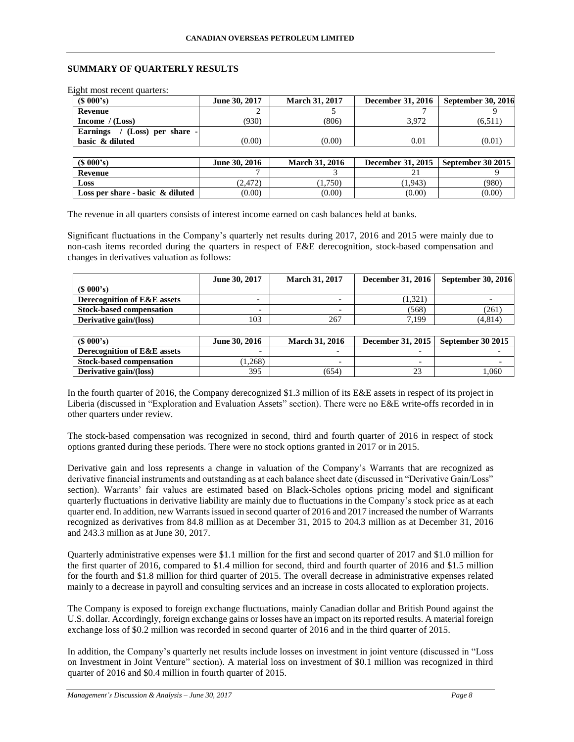## **SUMMARY OF QUARTERLY RESULTS**

Eight most recent quarters:

| (S 000's)                                 | June 30, 2017 | <b>March 31, 2017</b> | <b>December 31, 2016</b> | <b>September 30, 2016</b> |
|-------------------------------------------|---------------|-----------------------|--------------------------|---------------------------|
| Revenue                                   |               |                       |                          |                           |
| Income $/(Loss)$                          | (930)         | (806)                 | 3.972                    | (6,511)                   |
| $/$ (Loss) per share -<br><b>Earnings</b> |               |                       |                          |                           |
| basic & diluted                           | (0.00)        | (0.00)                | 0.01                     | (0.01)                    |
|                                           |               |                       |                          |                           |
| (S 000's)                                 | June 30, 2016 | <b>March 31, 2016</b> | <b>December 31, 2015</b> | September 30 2015         |
| Revenue                                   |               |                       |                          |                           |

**Loss** (2,472) (2,472) (1,750) (1,943) (980) **Loss per share - basic & diluted** (0.00) (0.00) (0.00) (0.00) (0.00) (0.00)

The revenue in all quarters consists of interest income earned on cash balances held at banks.

Significant fluctuations in the Company's quarterly net results during 2017, 2016 and 2015 were mainly due to non-cash items recorded during the quarters in respect of E&E derecognition, stock-based compensation and changes in derivatives valuation as follows:

|                                 | June 30, 2017            | <b>March 31, 2017</b> | <b>December 31, 2016</b> | <b>September 30, 2016</b> |
|---------------------------------|--------------------------|-----------------------|--------------------------|---------------------------|
| (S 000's)                       |                          |                       |                          |                           |
| Derecognition of E&E assets     | $\overline{\phantom{0}}$ | -                     | (1,321)                  |                           |
| <b>Stock-based compensation</b> |                          |                       | (568)                    | (261                      |
| Derivative gain/(loss)          | 103                      | 267                   | 7.199                    | (4.814)                   |

| (S 000's)                              | June 30, 2016 | <b>March 31, 2016</b>    |                          | December 31, 2015   September 30 2015 |
|----------------------------------------|---------------|--------------------------|--------------------------|---------------------------------------|
| <b>Derecognition of E&amp;E assets</b> |               |                          |                          |                                       |
| <b>Stock-based compensation</b>        | 1.268)        | $\overline{\phantom{0}}$ | $\overline{\phantom{0}}$ |                                       |
| Derivative gain/(loss)                 | 395           | (654)                    |                          | .060                                  |

In the fourth quarter of 2016, the Company derecognized \$1.3 million of its E&E assets in respect of its project in Liberia (discussed in "Exploration and Evaluation Assets" section). There were no E&E write-offs recorded in in other quarters under review.

The stock-based compensation was recognized in second, third and fourth quarter of 2016 in respect of stock options granted during these periods. There were no stock options granted in 2017 or in 2015.

Derivative gain and loss represents a change in valuation of the Company's Warrants that are recognized as derivative financial instruments and outstanding as at each balance sheet date (discussed in "Derivative Gain/Loss" section). Warrants' fair values are estimated based on Black-Scholes options pricing model and significant quarterly fluctuations in derivative liability are mainly due to fluctuations in the Company's stock price as at each quarter end. In addition, new Warrants issued in second quarter of 2016 and 2017 increased the number of Warrants recognized as derivatives from 84.8 million as at December 31, 2015 to 204.3 million as at December 31, 2016 and 243.3 million as at June 30, 2017.

Quarterly administrative expenses were \$1.1 million for the first and second quarter of 2017 and \$1.0 million for the first quarter of 2016, compared to \$1.4 million for second, third and fourth quarter of 2016 and \$1.5 million for the fourth and \$1.8 million for third quarter of 2015. The overall decrease in administrative expenses related mainly to a decrease in payroll and consulting services and an increase in costs allocated to exploration projects.

The Company is exposed to foreign exchange fluctuations, mainly Canadian dollar and British Pound against the U.S. dollar. Accordingly, foreign exchange gains or losses have an impact on its reported results. A material foreign exchange loss of \$0.2 million was recorded in second quarter of 2016 and in the third quarter of 2015.

In addition, the Company's quarterly net results include losses on investment in joint venture (discussed in "Loss on Investment in Joint Venture" section). A material loss on investment of \$0.1 million was recognized in third quarter of 2016 and \$0.4 million in fourth quarter of 2015.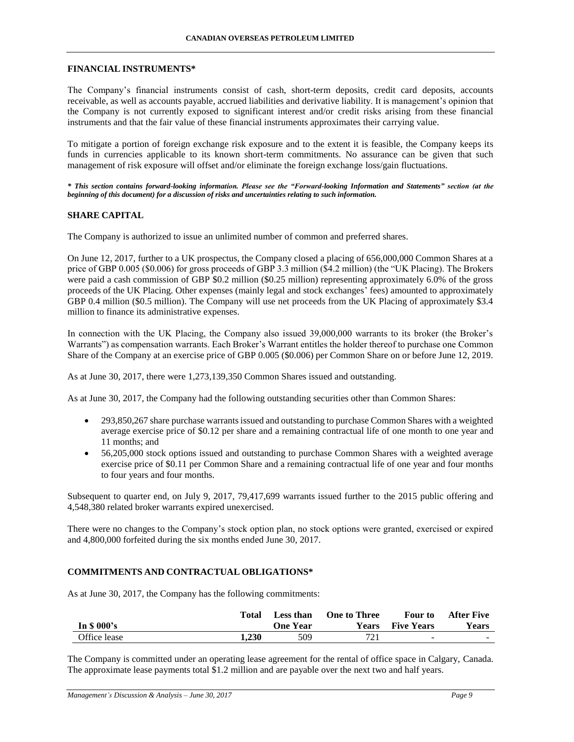#### **FINANCIAL INSTRUMENTS\***

The Company's financial instruments consist of cash, short-term deposits, credit card deposits, accounts receivable, as well as accounts payable, accrued liabilities and derivative liability. It is management's opinion that the Company is not currently exposed to significant interest and/or credit risks arising from these financial instruments and that the fair value of these financial instruments approximates their carrying value.

To mitigate a portion of foreign exchange risk exposure and to the extent it is feasible, the Company keeps its funds in currencies applicable to its known short-term commitments. No assurance can be given that such management of risk exposure will offset and/or eliminate the foreign exchange loss/gain fluctuations.

*\* This section contains forward-looking information. Please see the "Forward-looking Information and Statements" section (at the beginning of this document) for a discussion of risks and uncertainties relating to such information.*

### **SHARE CAPITAL**

The Company is authorized to issue an unlimited number of common and preferred shares.

On June 12, 2017, further to a UK prospectus, the Company closed a placing of 656,000,000 Common Shares at a price of GBP 0.005 (\$0.006) for gross proceeds of GBP 3.3 million (\$4.2 million) (the "UK Placing). The Brokers were paid a cash commission of GBP \$0.2 million (\$0.25 million) representing approximately 6.0% of the gross proceeds of the UK Placing. Other expenses (mainly legal and stock exchanges' fees) amounted to approximately GBP 0.4 million (\$0.5 million). The Company will use net proceeds from the UK Placing of approximately \$3.4 million to finance its administrative expenses.

In connection with the UK Placing, the Company also issued 39,000,000 warrants to its broker (the Broker's Warrants") as compensation warrants. Each Broker's Warrant entitles the holder thereof to purchase one Common Share of the Company at an exercise price of GBP 0.005 (\$0.006) per Common Share on or before June 12, 2019.

As at June 30, 2017, there were 1,273,139,350 Common Shares issued and outstanding.

As at June 30, 2017, the Company had the following outstanding securities other than Common Shares:

- 293,850,267 share purchase warrants issued and outstanding to purchase Common Shares with a weighted average exercise price of \$0.12 per share and a remaining contractual life of one month to one year and 11 months; and
- 56,205,000 stock options issued and outstanding to purchase Common Shares with a weighted average exercise price of \$0.11 per Common Share and a remaining contractual life of one year and four months to four years and four months.

Subsequent to quarter end, on July 9, 2017, 79,417,699 warrants issued further to the 2015 public offering and 4,548,380 related broker warrants expired unexercised.

There were no changes to the Company's stock option plan, no stock options were granted, exercised or expired and 4,800,000 forfeited during the six months ended June 30, 2017.

## **COMMITMENTS AND CONTRACTUAL OBLIGATIONS\***

As at June 30, 2017, the Company has the following commitments:

| In $$000's$  | Total | Less than<br><b>One Year</b> | <b>One to Three</b><br>Years | Four to<br><b>Five Years</b> | After Five<br><b>Years</b> |
|--------------|-------|------------------------------|------------------------------|------------------------------|----------------------------|
| Office lease | 1.230 | 509                          | 721                          | $\sim$                       | $\sim$                     |

The Company is committed under an operating lease agreement for the rental of office space in Calgary, Canada. The approximate lease payments total \$1.2 million and are payable over the next two and half years.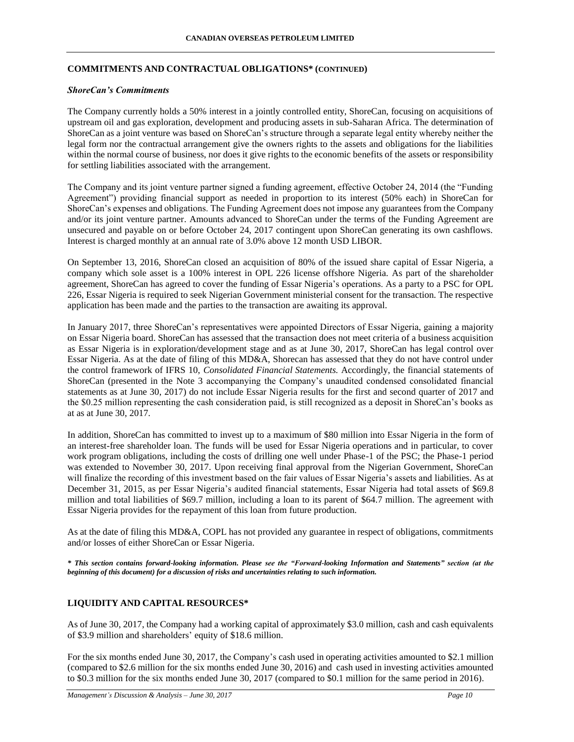## **COMMITMENTS AND CONTRACTUAL OBLIGATIONS\* (CONTINUED)**

### *ShoreCan's Commitments*

The Company currently holds a 50% interest in a jointly controlled entity, ShoreCan, focusing on acquisitions of upstream oil and gas exploration, development and producing assets in sub-Saharan Africa. The determination of ShoreCan as a joint venture was based on ShoreCan's structure through a separate legal entity whereby neither the legal form nor the contractual arrangement give the owners rights to the assets and obligations for the liabilities within the normal course of business, nor does it give rights to the economic benefits of the assets or responsibility for settling liabilities associated with the arrangement.

The Company and its joint venture partner signed a funding agreement, effective October 24, 2014 (the "Funding Agreement") providing financial support as needed in proportion to its interest (50% each) in ShoreCan for ShoreCan's expenses and obligations. The Funding Agreement does not impose any guarantees from the Company and/or its joint venture partner. Amounts advanced to ShoreCan under the terms of the Funding Agreement are unsecured and payable on or before October 24, 2017 contingent upon ShoreCan generating its own cashflows. Interest is charged monthly at an annual rate of 3.0% above 12 month USD LIBOR.

On September 13, 2016, ShoreCan closed an acquisition of 80% of the issued share capital of Essar Nigeria, a company which sole asset is a 100% interest in OPL 226 license offshore Nigeria. As part of the shareholder agreement, ShoreCan has agreed to cover the funding of Essar Nigeria's operations. As a party to a PSC for OPL 226, Essar Nigeria is required to seek Nigerian Government ministerial consent for the transaction. The respective application has been made and the parties to the transaction are awaiting its approval.

In January 2017, three ShoreCan's representatives were appointed Directors of Essar Nigeria, gaining a majority on Essar Nigeria board. ShoreCan has assessed that the transaction does not meet criteria of a business acquisition as Essar Nigeria is in exploration/development stage and as at June 30, 2017, ShoreCan has legal control over Essar Nigeria. As at the date of filing of this MD&A, Shorecan has assessed that they do not have control under the control framework of IFRS 10, *Consolidated Financial Statements.* Accordingly, the financial statements of ShoreCan (presented in the Note 3 accompanying the Company's unaudited condensed consolidated financial statements as at June 30, 2017) do not include Essar Nigeria results for the first and second quarter of 2017 and the \$0.25 million representing the cash consideration paid, is still recognized as a deposit in ShoreCan's books as at as at June 30, 2017.

In addition, ShoreCan has committed to invest up to a maximum of \$80 million into Essar Nigeria in the form of an interest-free shareholder loan. The funds will be used for Essar Nigeria operations and in particular, to cover work program obligations, including the costs of drilling one well under Phase-1 of the PSC; the Phase-1 period was extended to November 30, 2017. Upon receiving final approval from the Nigerian Government, ShoreCan will finalize the recording of this investment based on the fair values of Essar Nigeria's assets and liabilities. As at December 31, 2015, as per Essar Nigeria's audited financial statements, Essar Nigeria had total assets of \$69.8 million and total liabilities of \$69.7 million, including a loan to its parent of \$64.7 million. The agreement with Essar Nigeria provides for the repayment of this loan from future production.

As at the date of filing this MD&A, COPL has not provided any guarantee in respect of obligations, commitments and/or losses of either ShoreCan or Essar Nigeria.

*\* This section contains forward-looking information. Please see the "Forward-looking Information and Statements" section (at the beginning of this document) for a discussion of risks and uncertainties relating to such information.*

# **LIQUIDITY AND CAPITAL RESOURCES\***

As of June 30, 2017, the Company had a working capital of approximately \$3.0 million, cash and cash equivalents of \$3.9 million and shareholders' equity of \$18.6 million.

For the six months ended June 30, 2017, the Company's cash used in operating activities amounted to \$2.1 million (compared to \$2.6 million for the six months ended June 30, 2016) and cash used in investing activities amounted to \$0.3 million for the six months ended June 30, 2017 (compared to \$0.1 million for the same period in 2016).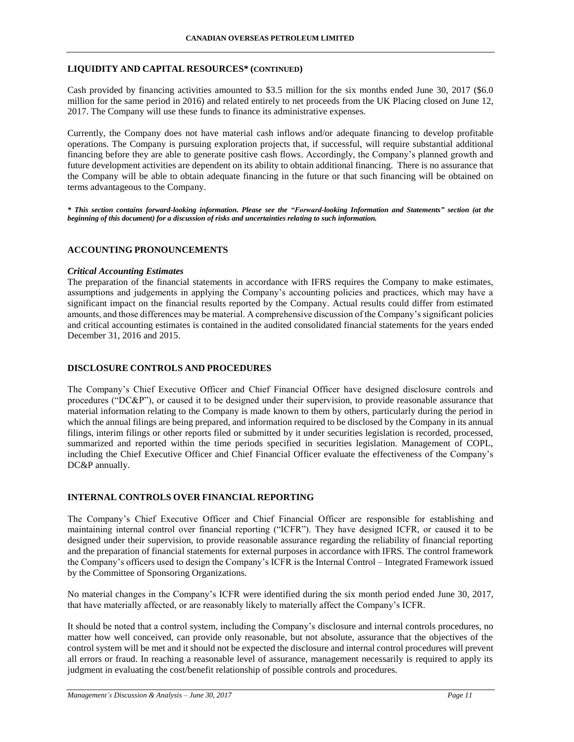## **LIQUIDITY AND CAPITAL RESOURCES\* (CONTINUED)**

Cash provided by financing activities amounted to \$3.5 million for the six months ended June 30, 2017 (\$6.0 million for the same period in 2016) and related entirely to net proceeds from the UK Placing closed on June 12, 2017. The Company will use these funds to finance its administrative expenses.

Currently, the Company does not have material cash inflows and/or adequate financing to develop profitable operations. The Company is pursuing exploration projects that, if successful, will require substantial additional financing before they are able to generate positive cash flows. Accordingly, the Company's planned growth and future development activities are dependent on its ability to obtain additional financing. There is no assurance that the Company will be able to obtain adequate financing in the future or that such financing will be obtained on terms advantageous to the Company.

*\* This section contains forward-looking information. Please see the "Forward-looking Information and Statements" section (at the beginning of this document) for a discussion of risks and uncertainties relating to such information.*

## **ACCOUNTING PRONOUNCEMENTS**

### *Critical Accounting Estimates*

The preparation of the financial statements in accordance with IFRS requires the Company to make estimates, assumptions and judgements in applying the Company's accounting policies and practices, which may have a significant impact on the financial results reported by the Company. Actual results could differ from estimated amounts, and those differences may be material. A comprehensive discussion of the Company's significant policies and critical accounting estimates is contained in the audited consolidated financial statements for the years ended December 31, 2016 and 2015.

## **DISCLOSURE CONTROLS AND PROCEDURES**

The Company's Chief Executive Officer and Chief Financial Officer have designed disclosure controls and procedures ("DC&P"), or caused it to be designed under their supervision, to provide reasonable assurance that material information relating to the Company is made known to them by others, particularly during the period in which the annual filings are being prepared, and information required to be disclosed by the Company in its annual filings, interim filings or other reports filed or submitted by it under securities legislation is recorded, processed, summarized and reported within the time periods specified in securities legislation. Management of COPL, including the Chief Executive Officer and Chief Financial Officer evaluate the effectiveness of the Company's DC&P annually.

## **INTERNAL CONTROLS OVER FINANCIAL REPORTING**

The Company's Chief Executive Officer and Chief Financial Officer are responsible for establishing and maintaining internal control over financial reporting ("ICFR"). They have designed ICFR, or caused it to be designed under their supervision, to provide reasonable assurance regarding the reliability of financial reporting and the preparation of financial statements for external purposes in accordance with IFRS. The control framework the Company's officers used to design the Company's ICFR is the Internal Control – Integrated Framework issued by the Committee of Sponsoring Organizations.

No material changes in the Company's ICFR were identified during the six month period ended June 30, 2017, that have materially affected, or are reasonably likely to materially affect the Company's ICFR.

It should be noted that a control system, including the Company's disclosure and internal controls procedures, no matter how well conceived, can provide only reasonable, but not absolute, assurance that the objectives of the control system will be met and it should not be expected the disclosure and internal control procedures will prevent all errors or fraud. In reaching a reasonable level of assurance, management necessarily is required to apply its judgment in evaluating the cost/benefit relationship of possible controls and procedures.